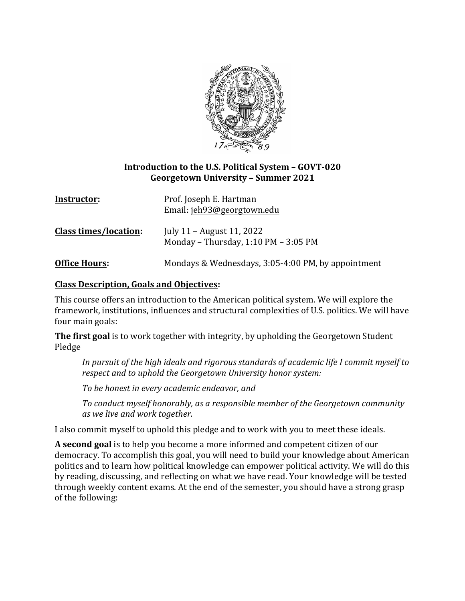

### **Introduction to the U.S. Political System – GOVT-020 Georgetown University – Summer 2021**

| Instructor:                  | Prof. Joseph E. Hartman<br>Email: jeh93@georgtown.edu             |
|------------------------------|-------------------------------------------------------------------|
| <b>Class times/location:</b> | July 11 – August 11, 2022<br>Monday - Thursday, 1:10 PM - 3:05 PM |
| <b>Office Hours:</b>         | Mondays & Wednesdays, 3:05-4:00 PM, by appointment                |

### **Class Description, Goals and Objectives:**

This course offers an introduction to the American political system. We will explore the framework, institutions, influences and structural complexities of U.S. politics. We will have four main goals:

The first goal is to work together with integrity, by upholding the Georgetown Student Pledge

In pursuit of the high ideals and rigorous standards of academic life I commit myself to respect and to uphold the Georgetown University honor system:

*To be honest in every academic endeavor, and*

To conduct myself honorably, as a responsible member of the Georgetown community *as we live and work together.*

I also commit myself to uphold this pledge and to work with you to meet these ideals.

**A** second goal is to help you become a more informed and competent citizen of our democracy. To accomplish this goal, you will need to build your knowledge about American politics and to learn how political knowledge can empower political activity. We will do this by reading, discussing, and reflecting on what we have read. Your knowledge will be tested through weekly content exams. At the end of the semester, you should have a strong grasp of the following: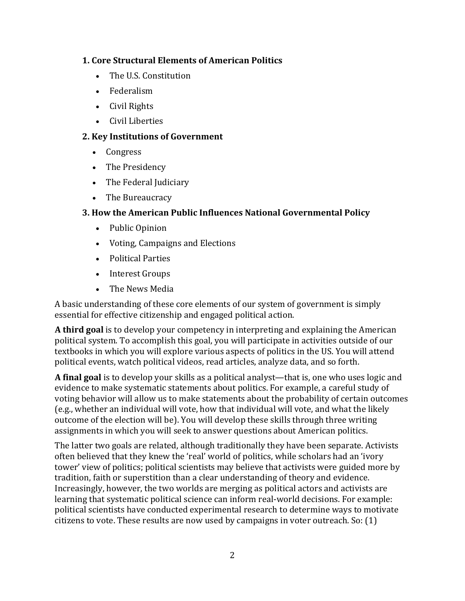### **1. Core Structural Elements of American Politics**

- The U.S. Constitution
- Federalism
- Civil Rights
- Civil Liberties

## **2. Key Institutions of Government**

- Congress
- The Presidency
- The Federal Judiciary
- The Bureaucracy

## **3. How the American Public Influences National Governmental Policy**

- Public Opinion
- Voting, Campaigns and Elections
- Political Parties
- Interest Groups
- The News Media

A basic understanding of these core elements of our system of government is simply essential for effective citizenship and engaged political action.

**A third goal** is to develop your competency in interpreting and explaining the American political system. To accomplish this goal, you will participate in activities outside of our textbooks in which you will explore various aspects of politics in the US. You will attend political events, watch political videos, read articles, analyze data, and so forth.

**A** final goal is to develop your skills as a political analyst—that is, one who uses logic and evidence to make systematic statements about politics. For example, a careful study of voting behavior will allow us to make statements about the probability of certain outcomes (e.g., whether an individual will vote, how that individual will vote, and what the likely outcome of the election will be). You will develop these skills through three writing assignments in which you will seek to answer questions about American politics.

The latter two goals are related, although traditionally they have been separate. Activists often believed that they knew the 'real' world of politics, while scholars had an 'ivory tower' view of politics; political scientists may believe that activists were guided more by tradition, faith or superstition than a clear understanding of theory and evidence. Increasingly, however, the two worlds are merging as political actors and activists are learning that systematic political science can inform real-world decisions. For example: political scientists have conducted experimental research to determine ways to motivate citizens to vote. These results are now used by campaigns in voter outreach. So:  $(1)$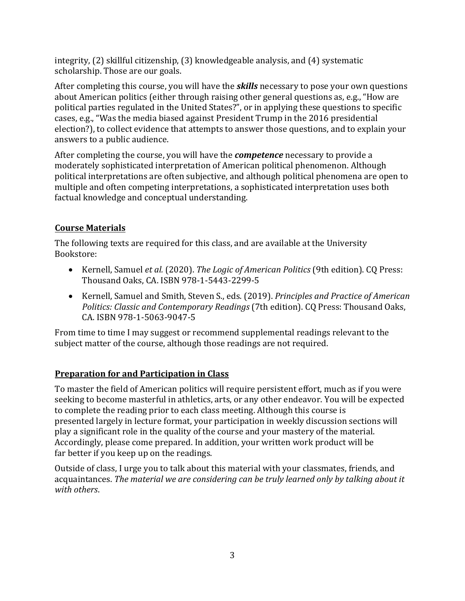integrity,  $(2)$  skillful citizenship,  $(3)$  knowledgeable analysis, and  $(4)$  systematic scholarship. Those are our goals.

After completing this course, you will have the *skills* necessary to pose your own questions about American politics (either through raising other general questions as, e.g., "How are political parties regulated in the United States?", or in applying these questions to specific cases, e.g., "Was the media biased against President Trump in the 2016 presidential election?), to collect evidence that attempts to answer those questions, and to explain your answers to a public audience.

After completing the course, you will have the *competence* necessary to provide a moderately sophisticated interpretation of American political phenomenon. Although political interpretations are often subjective, and although political phenomena are open to multiple and often competing interpretations, a sophisticated interpretation uses both factual knowledge and conceptual understanding.

# **Course Materials**

The following texts are required for this class, and are available at the University Bookstore:

- Kernell, Samuel *et al.* (2020). *The Logic of American Politics* (9th edition). CQ Press: Thousand Oaks, CA. ISBN 978-1-5443-2299-5
- Kernell, Samuel and Smith, Steven S., eds. (2019). *Principles and Practice of American Politics: Classic and Contemporary Readings* (7th edition). CQ Press: Thousand Oaks, CA. ISBN 978-1-5063-9047-5

From time to time I may suggest or recommend supplemental readings relevant to the subject matter of the course, although those readings are not required.

# **Preparation for and Participation in Class**

To master the field of American politics will require persistent effort, much as if you were seeking to become masterful in athletics, arts, or any other endeavor. You will be expected to complete the reading prior to each class meeting. Although this course is presented largely in lecture format, your participation in weekly discussion sections will play a significant role in the quality of the course and your mastery of the material. Accordingly, please come prepared. In addition, your written work product will be far better if you keep up on the readings.

Outside of class, I urge you to talk about this material with your classmates, friends, and acquaintances. The material we are considering can be truly learned only by talking about it *with others*.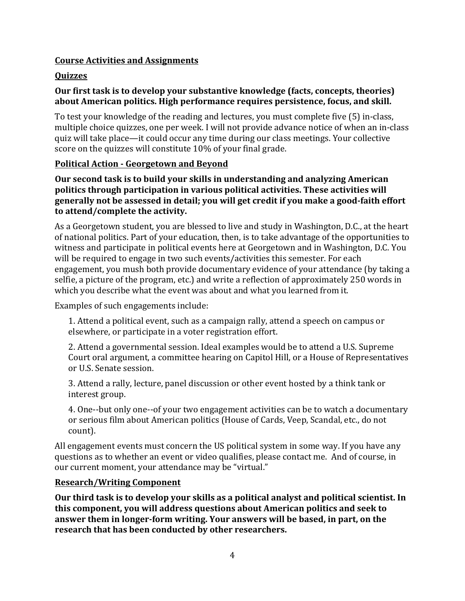## **Course Activities and Assignments**

## **Quizzes**

## Our first task is to develop your substantive knowledge (facts, concepts, theories) about American politics. High performance requires persistence, focus, and skill.

To test your knowledge of the reading and lectures, you must complete five (5) in-class, multiple choice quizzes, one per week. I will not provide advance notice of when an in-class quiz will take place—it could occur any time during our class meetings. Your collective score on the quizzes will constitute 10% of your final grade.

### **Political Action - Georgetown and Beyond**

**Our second task is to build your skills in understanding and analyzing American** politics through participation in various political activities. These activities will generally not be assessed in detail; you will get credit if you make a good-faith effort to attend/complete the activity.

As a Georgetown student, you are blessed to live and study in Washington, D.C., at the heart of national politics. Part of your education, then, is to take advantage of the opportunities to witness and participate in political events here at Georgetown and in Washington, D.C. You will be required to engage in two such events/activities this semester. For each engagement, you mush both provide documentary evidence of your attendance (by taking a selfie, a picture of the program, etc.) and write a reflection of approximately 250 words in which you describe what the event was about and what you learned from it.

Examples of such engagements include:

1. Attend a political event, such as a campaign rally, attend a speech on campus or elsewhere, or participate in a voter registration effort.

2. Attend a governmental session. Ideal examples would be to attend a U.S. Supreme Court oral argument, a committee hearing on Capitol Hill, or a House of Representatives or U.S. Senate session.

3. Attend a rally, lecture, panel discussion or other event hosted by a think tank or interest group.

4. One--but only one--of your two engagement activities can be to watch a documentary or serious film about American politics (House of Cards, Veep, Scandal, etc., do not count).

All engagement events must concern the US political system in some way. If you have any questions as to whether an event or video qualifies, please contact me. And of course, in our current moment, your attendance may be "virtual."

### **Research/Writing Component**

Our third task is to develop your skills as a political analyst and political scientist. In this component, you will address questions about American politics and seek to answer them in longer-form writing. Your answers will be based, in part, on the research that has been conducted by other researchers.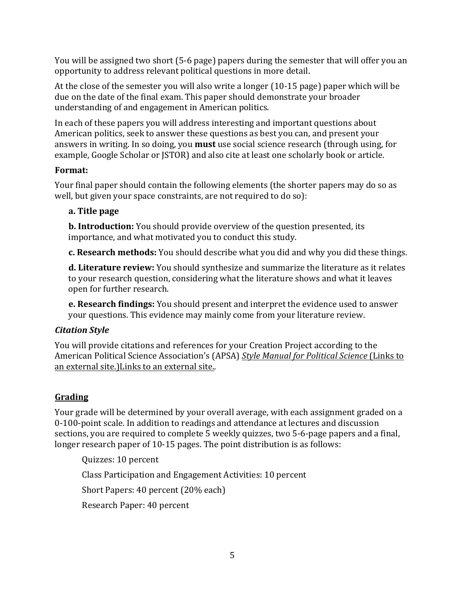You will be assigned two short (5-6 page) papers during the semester that will offer you an opportunity to address relevant political questions in more detail.

At the close of the semester you will also write a longer  $(10-15 \text{ page})$  paper which will be due on the date of the final exam. This paper should demonstrate your broader understanding of and engagement in American politics.

In each of these papers you will address interesting and important questions about American politics, seek to answer these questions as best you can, and present your answers in writing. In so doing, you **must** use social science research (through using, for example, Google Scholar or JSTOR) and also cite at least one scholarly book or article.

## **Format:**

Your final paper should contain the following elements (the shorter papers may do so as well, but given your space constraints, are not required to do so):

## **a. Title page**

**b. Introduction:** You should provide overview of the question presented, its importance, and what motivated you to conduct this study.

**c. Research methods:** You should describe what you did and why you did these things.

**d. Literature review:** You should synthesize and summarize the literature as it relates to your research question, considering what the literature shows and what it leaves open for further research.

**e. Research findings:** You should present and interpret the evidence used to answer your questions. This evidence may mainly come from your literature review.

## *Citation Style*

You will provide citations and references for your Creation Project according to the American Political Science Association's (APSA) *Style Manual for Political Science* (Links to an external site.)Links to an external site.*.*

## **Grading**

Your grade will be determined by your overall average, with each assignment graded on a 0-100-point scale. In addition to readings and attendance at lectures and discussion sections, you are required to complete 5 weekly quizzes, two 5-6-page papers and a final, longer research paper of 10-15 pages. The point distribution is as follows:

Quizzes: 10 percent Class Participation and Engagement Activities: 10 percent Short Papers: 40 percent (20% each) Research Paper: 40 percent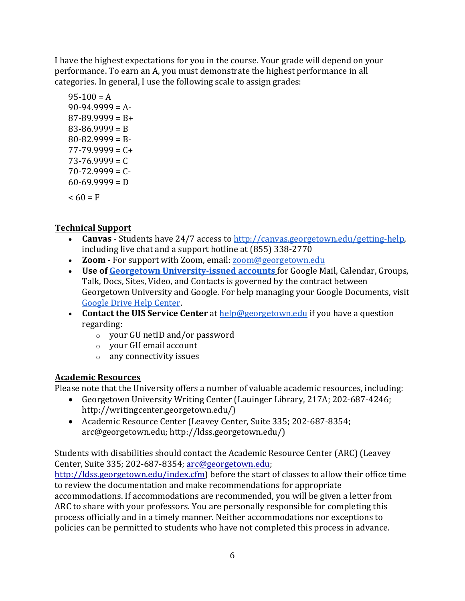I have the highest expectations for you in the course. Your grade will depend on your performance. To earn an A, you must demonstrate the highest performance in all categories. In general, I use the following scale to assign grades:

 $95-100 = A$  $90-94.9999 = A$  $87-89.9999 = B+$  $83 - 86.9999 = B$  $80 - 82.9999 = B$  $77-79.9999 = C +$  $73 - 76.9999 = C$  $70 - 72.9999 = C$  $60-69.9999 = D$  $< 60 = F$ 

## **Technical Support**

- **Canvas** Students have 24/7 access to http://canvas.georgetown.edu/getting-help, including live chat and a support hotline at (855) 338-2770
- **Zoom** For support with Zoom, email: **zoom@georgetown.edu**
- Use of **Georgetown University-issued accounts** for Google Mail, Calendar, Groups, Talk, Docs, Sites, Video, and Contacts is governed by the contract between Georgetown University and Google. For help managing your Google Documents, visit Google Drive Help Center.
- **Contact the UIS Service Center** at help@georgetown.edu if you have a question regarding:
	- $\circ$  your GU netID and/or password
	- $\circ$  your GU email account
	- $\circ$  any connectivity issues

## **Academic Resources**

Please note that the University offers a number of valuable academic resources, including:

- Georgetown University Writing Center (Lauinger Library, 217A; 202-687-4246; http://writingcenter.georgetown.edu/)
- Academic Resource Center (Leavey Center, Suite 335; 202-687-8354; arc@georgetown.edu; http://ldss.georgetown.edu/)

Students with disabilities should contact the Academic Resource Center (ARC) (Leavey Center, Suite 335; 202-687-8354; arc@georgetown.edu;

http://ldss.georgetown.edu/index.cfm) before the start of classes to allow their office time to review the documentation and make recommendations for appropriate accommodations. If accommodations are recommended, you will be given a letter from ARC to share with your professors. You are personally responsible for completing this process officially and in a timely manner. Neither accommodations nor exceptions to policies can be permitted to students who have not completed this process in advance.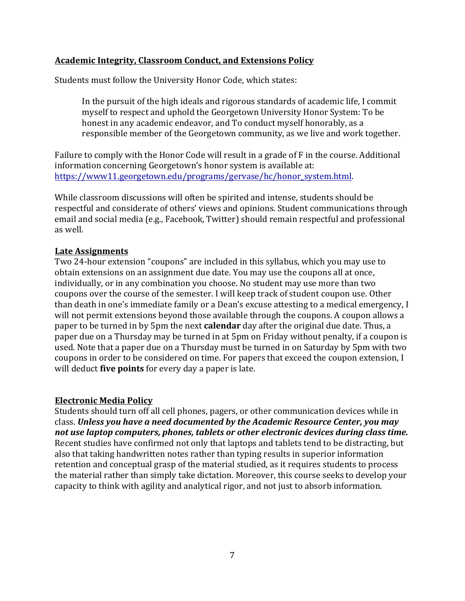### **Academic Integrity, Classroom Conduct, and Extensions Policy**

Students must follow the University Honor Code, which states:

In the pursuit of the high ideals and rigorous standards of academic life, I commit myself to respect and uphold the Georgetown University Honor System: To be honest in any academic endeavor, and To conduct myself honorably, as a responsible member of the Georgetown community, as we live and work together.

Failure to comply with the Honor Code will result in a grade of F in the course. Additional information concerning Georgetown's honor system is available at: https://www11.georgetown.edu/programs/gervase/hc/honor\_system.html. 

While classroom discussions will often be spirited and intense, students should be respectful and considerate of others' views and opinions. Student communications through email and social media (e.g., Facebook, Twitter) should remain respectful and professional as well.

#### **Late Assignments**

Two 24-hour extension "coupons" are included in this syllabus, which you may use to obtain extensions on an assignment due date. You may use the coupons all at once, individually, or in any combination you choose. No student may use more than two coupons over the course of the semester. I will keep track of student coupon use. Other than death in one's immediate family or a Dean's excuse attesting to a medical emergency, I will not permit extensions beyond those available through the coupons. A coupon allows a paper to be turned in by 5pm the next **calendar** day after the original due date. Thus, a paper due on a Thursday may be turned in at 5pm on Friday without penalty, if a coupon is used. Note that a paper due on a Thursday must be turned in on Saturday by 5pm with two coupons in order to be considered on time. For papers that exceed the coupon extension, I will deduct **five points** for every day a paper is late.

#### **Electronic Media Policy**

Students should turn off all cell phones, pagers, or other communication devices while in class. Unless you have a need documented by the Academic Resource Center, you may not use laptop computers, phones, tablets or other electronic devices during class time. Recent studies have confirmed not only that laptops and tablets tend to be distracting, but also that taking handwritten notes rather than typing results in superior information retention and conceptual grasp of the material studied, as it requires students to process the material rather than simply take dictation. Moreover, this course seeks to develop your capacity to think with agility and analytical rigor, and not just to absorb information.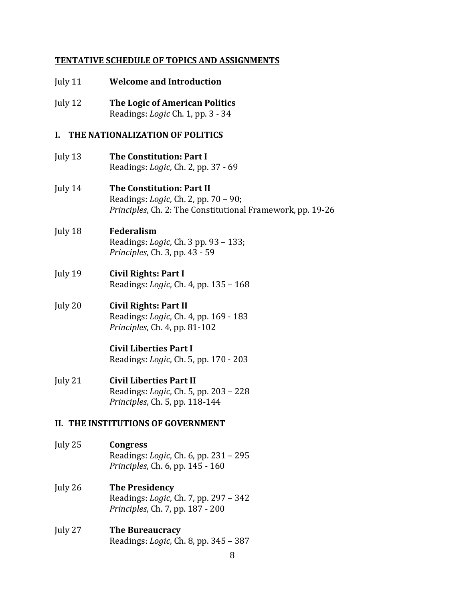#### **TENTATIVE SCHEDULE OF TOPICS AND ASSIGNMENTS**

- **July 11 Welcome and Introduction**
- **July 12** The Logic of American Politics Readings: *Logic* Ch. 1, pp. 3 - 34

#### **I. THE NATIONALIZATION OF POLITICS**

- **July 13** The Constitution: Part I Readings: *Logic*, Ch. 2, pp. 37 - 69
- **July 14 The Constitution: Part II** Readings: *Logic*, Ch. 2, pp. 70 - 90; *Principles*, Ch. 2: The Constitutional Framework, pp. 19-26

#### July 18 **Federalism** Readings: *Logic*, Ch. 3 pp. 93 - 133; *Principles*, Ch. 3, pp. 43 - 59

- **July 19 Civil Rights: Part I** Readings: *Logic*, Ch. 4, pp. 135 - 168
- **July 20 Civil Rights: Part II** Readings: *Logic*, Ch. 4, pp. 169 - 183 *Principles*, *Ch. 4*, *pp.* 81-102

#### **Civil Liberties Part I** Readings: *Logic*, Ch. 5, pp. 170 - 203

**July 21 Civil Liberties Part II** Readings: *Logic*, Ch. 5, pp. 203 – 228 *Principles*, Ch. 5, pp. 118-144

#### **II. THE INSTITUTIONS OF GOVERNMENT**

- July 25 **Congress** Readings: *Logic*, Ch. 6, pp. 231 - 295 *Principles*, Ch. 6, pp. 145 - 160
- **July 26 The Presidency** Readings: *Logic*, Ch. 7, pp. 297 - 342 *Principles*, Ch. 7, pp. 187 - 200
- **July 27 The Bureaucracy** Readings: *Logic*, Ch. 8, pp. 345 - 387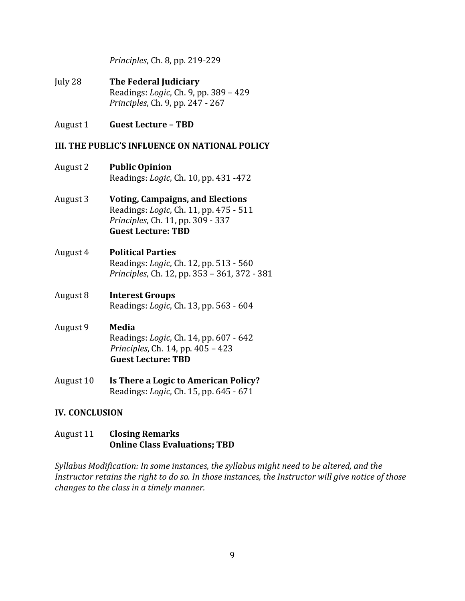*Principles*, Ch. 8, pp. 219-229

- **July 28** The Federal Judiciary Readings: *Logic*, Ch. 9, pp. 389 - 429 *Principles*, Ch. 9, pp. 247 - 267
- August 1 **Guest Lecture – TBD**

#### **III. THE PUBLIC'S INFLUENCE ON NATIONAL POLICY**

- August 2 **Public Opinion** Readings: *Logic*, Ch. 10, pp. 431 -472
- August 3 **Voting, Campaigns, and Elections** Readings: *Logic*, Ch. 11, pp. 475 - 511 *Principles*, Ch. 11, pp. 309 - 337 **Guest Lecture: TBD**
- August 4 **Political Parties** Readings: *Logic*, Ch. 12, pp. 513 - 560 *Principles*, Ch. 12, pp. 353 - 361, 372 - 381
- August 8 **Interest Groups** Readings: *Logic*, Ch. 13, pp. 563 - 604
- August 9 **Media** Readings: *Logic*, Ch. 14, pp. 607 - 642 *Principles*, Ch. 14, pp. 405 – 423 **Guest Lecture: TBD**
- August 10 **Is There a Logic to American Policy?** Readings: *Logic*, Ch. 15, pp. 645 - 671

### **IV. CONCLUSION**

## August 11 **Closing Remarks Online Class Evaluations; TBD**

*Syllabus Modification: In some instances, the syllabus might need to be altered, and the Instructor retains the right to do so. In those instances, the Instructor will give notice of those changes to the class in a timely manner.*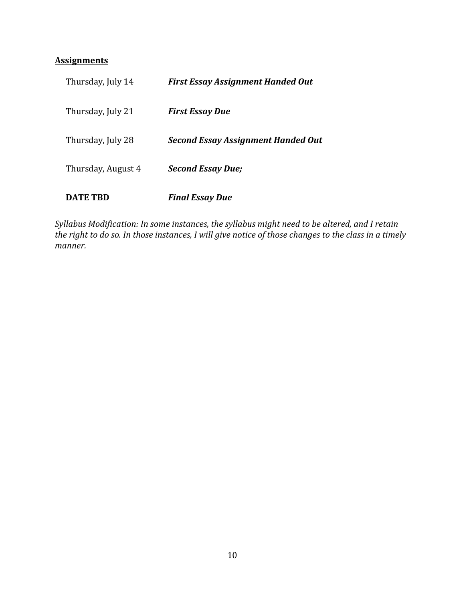## **Assignments**

| <b>DATE TRD</b>    | <b>Final Essay Due</b>                    |
|--------------------|-------------------------------------------|
| Thursday, August 4 | <b>Second Essay Due;</b>                  |
| Thursday, July 28  | <b>Second Essay Assignment Handed Out</b> |
| Thursday, July 21  | <b>First Essay Due</b>                    |
| Thursday, July 14  | <b>First Essay Assignment Handed Out</b>  |

Syllabus Modification: In some instances, the syllabus might need to be altered, and I retain *the right to do so. In those instances, I will give notice of those changes to the class in a timely manner.*